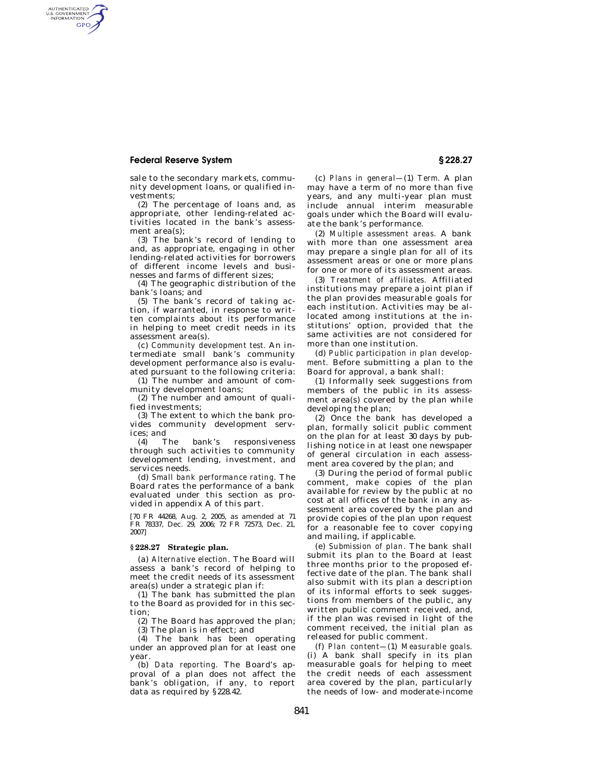## **Federal Reserve System § 228.27**

AUTHENTICATED<br>U.S. GOVERNMENT<br>INFORMATION GPO

> sale to the secondary markets, community development loans, or qualified investments;

> (2) The percentage of loans and, as appropriate, other lending-related activities located in the bank's assessment area(s);

> (3) The bank's record of lending to and, as appropriate, engaging in other lending-related activities for borrowers of different income levels and businesses and farms of different sizes;

(4) The geographic distribution of the bank's loans; and

(5) The bank's record of taking action, if warranted, in response to written complaints about its performance in helping to meet credit needs in its assessment area(s).

(c) *Community development test.* An intermediate small bank's community development performance also is evaluated pursuant to the following criteria:

(1) The number and amount of community development loans;

(2) The number and amount of qualified investments;

(3) The extent to which the bank provides community development services; and

(4) The bank's responsiveness through such activities to community development lending, investment, and services needs.

(d) *Small bank performance rating.* The Board rates the performance of a bank evaluated under this section as provided in appendix A of this part.

[70 FR 44268, Aug. 2, 2005, as amended at 71 FR 78337, Dec. 29, 2006; 72 FR 72573, Dec. 21, 2007]

## **§ 228.27 Strategic plan.**

(a) *Alternative election.* The Board will assess a bank's record of helping to meet the credit needs of its assessment area(s) under a strategic plan if:

(1) The bank has submitted the plan to the Board as provided for in this section;

(2) The Board has approved the plan; (3) The plan is in effect; and

(4) The bank has been operating under an approved plan for at least one year.

(b) *Data reporting.* The Board's approval of a plan does not affect the bank's obligation, if any, to report data as required by §228.42.

(c) *Plans in general—*(1) *Term.* A plan may have a term of no more than five years, and any multi-year plan must include annual interim measurable goals under which the Board will evaluate the bank's performance.

(2) *Multiple assessment areas.* A bank with more than one assessment area may prepare a single plan for all of its assessment areas or one or more plans for one or more of its assessment areas.

(3) *Treatment of affiliates.* Affiliated institutions may prepare a joint plan if the plan provides measurable goals for each institution. Activities may be allocated among institutions at the institutions' option, provided that the same activities are not considered for more than one institution.

(d) *Public participation in plan development.* Before submitting a plan to the Board for approval, a bank shall:

(1) Informally seek suggestions from members of the public in its assessment area(s) covered by the plan while developing the plan;

(2) Once the bank has developed a plan, formally solicit public comment on the plan for at least 30 days by publishing notice in at least one newspaper of general circulation in each assessment area covered by the plan; and

(3) During the period of formal public comment, make copies of the plan available for review by the public at no cost at all offices of the bank in any assessment area covered by the plan and provide copies of the plan upon request for a reasonable fee to cover copying and mailing, if applicable.

(e) *Submission of plan.* The bank shall submit its plan to the Board at least three months prior to the proposed effective date of the plan. The bank shall also submit with its plan a description of its informal efforts to seek suggestions from members of the public, any written public comment received, and, if the plan was revised in light of the comment received, the initial plan as released for public comment.

(f) *Plan content—*(1) *Measurable goals.*  (i) A bank shall specify in its plan measurable goals for helping to meet the credit needs of each assessment area covered by the plan, particularly the needs of low- and moderate-income